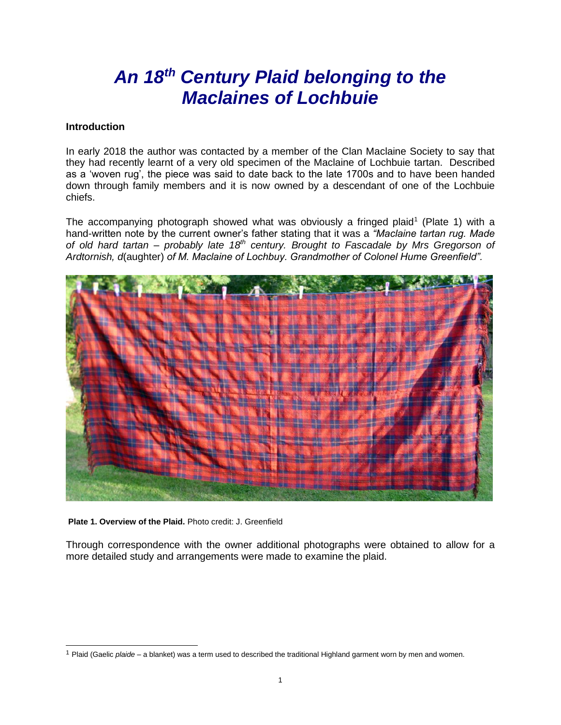# *An 18th Century Plaid belonging to the Maclaines of Lochbuie*

#### **Introduction**

In early 2018 the author was contacted by a member of the Clan Maclaine Society to say that they had recently learnt of a very old specimen of the Maclaine of Lochbuie tartan. Described as a 'woven rug', the piece was said to date back to the late 1700s and to have been handed down through family members and it is now owned by a descendant of one of the Lochbuie chiefs.

The accompanying photograph showed what was obviously a fringed plaid<sup>1</sup> (Plate 1) with a hand-written note by the current owner's father stating that it was a *"Maclaine tartan rug. Made of old hard tartan – probably late 18th century. Brought to Fascadale by Mrs Gregorson of Ardtornish, d*(aughter) *of M. Maclaine of Lochbuy. Grandmother of Colonel Hume Greenfield".*



**Plate 1. Overview of the Plaid.** Photo credit: J. Greenfield

Through correspondence with the owner additional photographs were obtained to allow for a more detailed study and arrangements were made to examine the plaid.

<sup>1</sup> Plaid (Gaelic *plaide* – a blanket) was a term used to described the traditional Highland garment worn by men and women.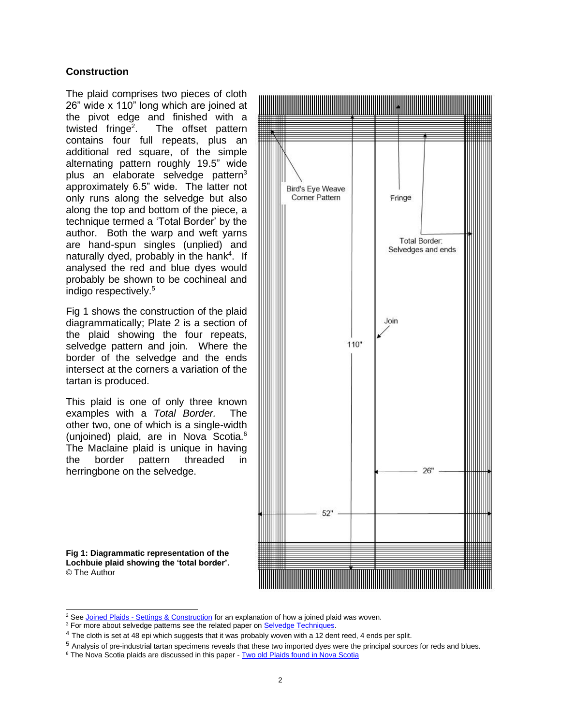#### **Construction**

The plaid comprises two pieces of cloth 26" wide x 110" long which are joined at the pivot edge and finished with a twisted  $fringe<sup>2</sup>$ . . The offset pattern contains four full repeats, plus an additional red square, of the simple alternating pattern roughly 19.5" wide plus an elaborate selvedge pattern<sup>3</sup> approximately 6.5" wide. The latter not only runs along the selvedge but also along the top and bottom of the piece, a technique termed a 'Total Border' by the author. Both the warp and weft yarns are hand-spun singles (unplied) and naturally dyed, probably in the hank<sup>4</sup>. If analysed the red and blue dyes would probably be shown to be cochineal and indigo respectively.<sup>5</sup>

Fig 1 shows the construction of the plaid diagrammatically; Plate 2 is a section of the plaid showing the four repeats, selvedge pattern and join. Where the border of the selvedge and the ends intersect at the corners a variation of the tartan is produced.

This plaid is one of only three known examples with a *Total Border.* The other two, one of which is a single-width (unjoined) plaid, are in Nova Scotia.<sup>6</sup> The Maclaine plaid is unique in having the border pattern threaded in herringbone on the selvedge.

**Fig 1: Diagrammatic representation of the Lochbuie plaid showing the 'total border'.** © The Author



<sup>&</sup>lt;sup>2</sup> See Joined Plaids - [Settings & Construction](https://www.scottishtartans.co.uk/Joined_Plaids.pdf) for an explanation of how a joined plaid was woven.

<sup>&</sup>lt;sup>3</sup> For more about selvedge patterns see the related paper on **Selvedge Techniques**.

<sup>&</sup>lt;sup>4</sup> The cloth is set at 48 epi which suggests that it was probably woven with a 12 dent reed, 4 ends per split.

<sup>5</sup> Analysis of pre-industrial tartan specimens reveals that these two imported dyes were the principal sources for reds and blues.

<sup>&</sup>lt;sup>6</sup> The Nova Scotia plaids are discussed in this paper - [Two old Plaids found in Nova Scotia](https://www.scottishtartans.co.uk/Two_Plaids_from_Antigonish_County.pdf)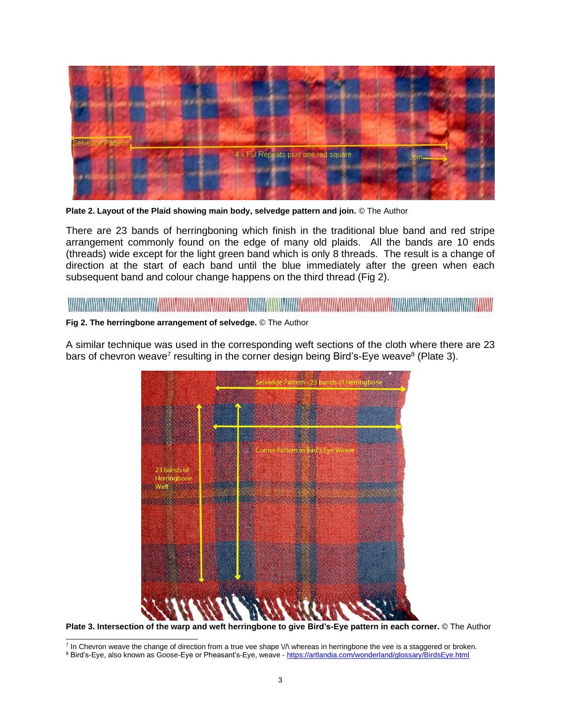

**Plate 2. Layout of the Plaid showing main body, selvedge pattern and join.** © The Author

There are 23 bands of herringboning which finish in the traditional blue band and red stripe arrangement commonly found on the edge of many old plaids. All the bands are 10 ends (threads) wide except for the light green band which is only 8 threads. The result is a change of direction at the start of each band until the blue immediately after the green when each subsequent band and colour change happens on the third thread (Fig 2).

## 

**Fig 2. The herringbone arrangement of selvedge.** © The Author

A similar technique was used in the corresponding weft sections of the cloth where there are 23 bars of chevron weave<sup>7</sup> resulting in the corner design being Bird's-Eye weave<sup>8</sup> (Plate 3).



**Plate 3. Intersection of the warp and weft herringbone to give Bird's-Eye pattern in each corner.** © The Author

<sup>&</sup>lt;sup>7</sup> In Chevron weave the change of direction from a true vee shape V/\ whereas in herringbone the vee is a staggered or broken.

<sup>&</sup>lt;sup>8</sup> Bird's-Eye, also known as Goose-Eye or Pheasant's-Eye, weave - <https://artlandia.com/wonderland/glossary/BirdsEye.html>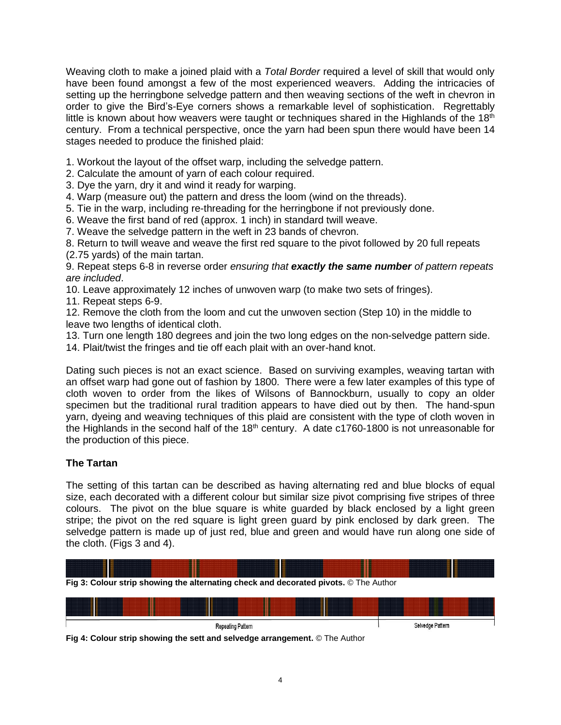Weaving cloth to make a joined plaid with a *Total Border* required a level of skill that would only have been found amongst a few of the most experienced weavers. Adding the intricacies of setting up the herringbone selvedge pattern and then weaving sections of the weft in chevron in order to give the Bird's-Eye corners shows a remarkable level of sophistication. Regrettably little is known about how weavers were taught or techniques shared in the Highlands of the  $18<sup>th</sup>$ century. From a technical perspective, once the yarn had been spun there would have been 14 stages needed to produce the finished plaid:

1. Workout the layout of the offset warp, including the selvedge pattern.

2. Calculate the amount of yarn of each colour required.

3. Dye the yarn, dry it and wind it ready for warping.

4. Warp (measure out) the pattern and dress the loom (wind on the threads).

5. Tie in the warp, including re-threading for the herringbone if not previously done.

6. Weave the first band of red (approx. 1 inch) in standard twill weave.

7. Weave the selvedge pattern in the weft in 23 bands of chevron.

8. Return to twill weave and weave the first red square to the pivot followed by 20 full repeats

(2.75 yards) of the main tartan.

9. Repeat steps 6-8 in reverse order *ensuring that exactly the same number of pattern repeats are included*.

10. Leave approximately 12 inches of unwoven warp (to make two sets of fringes).

11. Repeat steps 6-9.

12. Remove the cloth from the loom and cut the unwoven section (Step 10) in the middle to leave two lengths of identical cloth.

13. Turn one length 180 degrees and join the two long edges on the non-selvedge pattern side.

14. Plait/twist the fringes and tie off each plait with an over-hand knot.

Dating such pieces is not an exact science. Based on surviving examples, weaving tartan with an offset warp had gone out of fashion by 1800. There were a few later examples of this type of cloth woven to order from the likes of Wilsons of Bannockburn, usually to copy an older specimen but the traditional rural tradition appears to have died out by then. The hand-spun yarn, dyeing and weaving techniques of this plaid are consistent with the type of cloth woven in the Highlands in the second half of the  $18<sup>th</sup>$  century. A date c1760-1800 is not unreasonable for the production of this piece.

#### **The Tartan**

The setting of this tartan can be described as having alternating red and blue blocks of equal size, each decorated with a different colour but similar size pivot comprising five stripes of three colours. The pivot on the blue square is white guarded by black enclosed by a light green stripe; the pivot on the red square is light green guard by pink enclosed by dark green. The selvedge pattern is made up of just red, blue and green and would have run along one side of the cloth. (Figs 3 and 4).





**Fig 4: Colour strip showing the sett and selvedge arrangement.** © The Author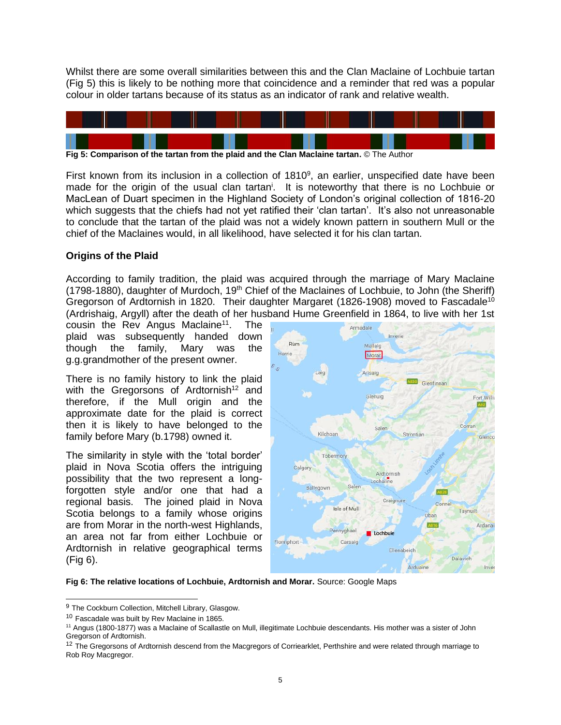Whilst there are some overall similarities between this and the Clan Maclaine of Lochbuie tartan (Fig 5) this is likely to be nothing more that coincidence and a reminder that red was a popular colour in older tartans because of its status as an indicator of rank and relative wealth.



**Fig 5: Comparison of the tartan from the plaid and the Clan Maclaine tartan.** © The Author

First known from its inclusion in a collection of  $1810<sup>9</sup>$ , an earlier, unspecified date have been made for the origin of the usual clan tartan<sup>i</sup>. It is noteworthy that there is no Lochbuie or MacLean of Duart specimen in the Highland Society of London's original collection of 1816-20 which suggests that the chiefs had not yet ratified their 'clan tartan'. It's also not unreasonable to conclude that the tartan of the plaid was not a widely known pattern in southern Mull or the chief of the Maclaines would, in all likelihood, have selected it for his clan tartan.

#### **Origins of the Plaid**

According to family tradition, the plaid was acquired through the marriage of Mary Maclaine (1798-1880), daughter of Murdoch, 19<sup>th</sup> Chief of the Maclaines of Lochbuie, to John (the Sheriff) Gregorson of Ardtornish in 1820. Their daughter Margaret (1826-1908) moved to Fascadale<sup>10</sup> (Ardrishaig, Argyll) after the death of her husband Hume Greenfield in 1864, to live with her 1st

cousin the Rev Angus Maclaine<sup>11</sup>. . The plaid was subsequently handed down though the family, Mary was the g.g.grandmother of the present owner.

There is no family history to link the plaid with the Gregorsons of Ardtornish<sup>12</sup> and therefore, if the Mull origin and the approximate date for the plaid is correct then it is likely to have belonged to the family before Mary (b.1798) owned it.

The similarity in style with the 'total border' plaid in Nova Scotia offers the intriguing possibility that the two represent a longforgotten style and/or one that had a regional basis. The joined plaid in Nova Scotia belongs to a family whose origins are from Morar in the north-west Highlands, an area not far from either Lochbuie or Ardtornish in relative geographical terms (Fig 6).



**Fig 6: The relative locations of Lochbuie, Ardtornish and Morar.** Source: Google Maps

<sup>&</sup>lt;sup>9</sup> The Cockburn Collection, Mitchell Library, Glasgow.

<sup>10</sup> Fascadale was built by Rev Maclaine in 1865.

<sup>11</sup> Angus (1800-1877) was a Maclaine of Scallastle on Mull, illegitimate Lochbuie descendants. His mother was a sister of John Gregorson of Ardtornish.

<sup>&</sup>lt;sup>12</sup> The Gregorsons of Ardtornish descend from the Macgregors of Corriearklet, Perthshire and were related through marriage to Rob Roy Macgregor.